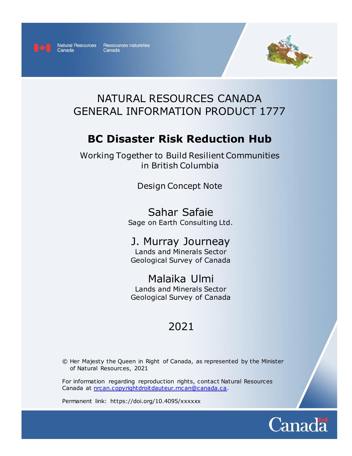

Canada

Natural Resources Ressources naturelles Canada



# NATURAL RESOURCES CANADA GENERAL INFORMATION PRODUCT 1777

# **BC Disaster Risk Reduction Hub**

Working Together to Build Resilient Communities in British Columbia

Design Concept Note

Sahar Safaie Sage on Earth Consulting Ltd.

# J. Murray Journeay

Lands and Minerals Sector Geological Survey of Canada

Malaika Ulmi

Lands and Minerals Sector Geological Survey of Canada

# 2021

© Her Majesty the Queen in Right of Canada, as represented by the Minister of Natural Resources, 2021

For information regarding reproduction rights, contact Natural Resources Canada at [nrcan.copyrightdroitdauteur.rncan@canada.ca.](mailto:nrcan.copyrightdroitdauteur.rncan@canada.ca)

Permanent link: https://doi.org/10.4095/xxxxxx

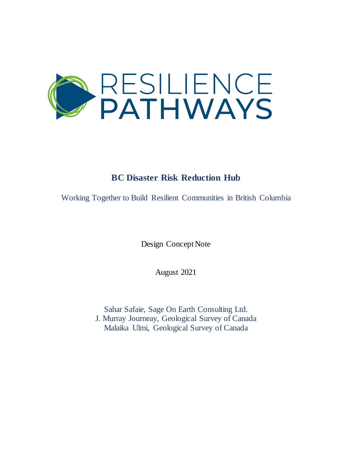

# **BC Disaster Risk Reduction Hub**

Working Together to Build Resilient Communities in British Columbia

Design Concept Note

August 2021

Sahar Safaie, Sage On Earth Consulting Ltd. J. Murray Journeay, Geological Survey of Canada Malaika Ulmi, Geological Survey of Canada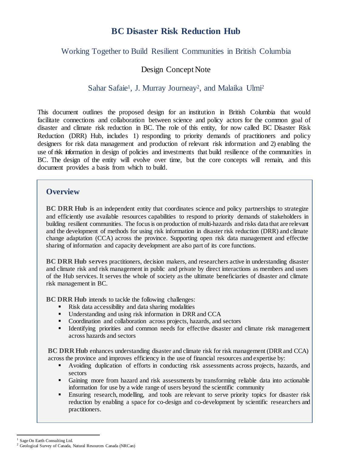## **BC Disaster Risk Reduction Hub**

### Working Together to Build Resilient Communities in British Columbia

### Design Concept Note

### Sahar Safaie<sup>1</sup>, J. Murray Journeay<sup>2</sup>, and Malaika Ulmi<sup>2</sup>

This document outlines the proposed design for an institution in British Columbia that would facilitate connections and collaboration between science and policy actors for the common goal of disaster and climate risk reduction in BC. The role of this entity, for now called BC Disaster Risk Reduction (DRR) Hub, includes 1) responding to priority demands of practitioners and policy designers for risk data management and production of relevant risk information and 2) enabling the use of risk information in design of policies and investments that build resilience of the communities in BC. The design of the entity will evolve over time, but the core concepts will remain, and this document provides a basis from which to build.

### **Overview**

**BC DRR Hub is** an independent entity that coordinates science and policy partnerships to strategize and efficiently use available resources capabilities to respond to priority demands of stakeholders in building resilient communities. The focusis on production of multi-hazards and risks data that are relevant and the development of methods for using risk information in disaster risk reduction (DRR) and climate change adaptation (CCA) across the province. Supporting open risk data management and effective sharing of information and capacity development are also part of its core functions.

**BC DRR Hub serves** practitioners, decision makers, and researchers active in understanding disaster and climate risk and risk management in public and private by direct interactions as members and users of the Hub services. It serves the whole of society as the ultimate beneficiaries of disaster and climate risk management in BC.

**BC DRR Hub** intends to tackle the following challenges:

- Risk data accessibility and data sharing modalities
- Understanding and using risk information in DRR and CCA
- Coordination and collaboration across projects, hazards, and sectors
- Identifying priorities and common needs for effective disaster and climate risk management across hazards and sectors

**BC** DRR Hub enhances understanding disaster and climate risk for risk management (DRR and CCA) across the province and improves efficiency in the use of financial resources and expertise by:

- Avoiding duplication of efforts in conducting risk assessments across projects, hazards, and sectors
- Gaining more from hazard and risk assessments by transforming reliable data into actionable information for use by a wide range of users beyond the scientific community
- Ensuring research, modelling, and tools are relevant to serve priority topics for disaster risk reduction by enabling a space for co-design and co-development by scientific researchers and practitioners.

 $\overline{a}$ <sup>1</sup> Sage On Earth Consulting Ltd.

<sup>2</sup> Geological Survey of Canada, Natural Resources Canada (NRCan)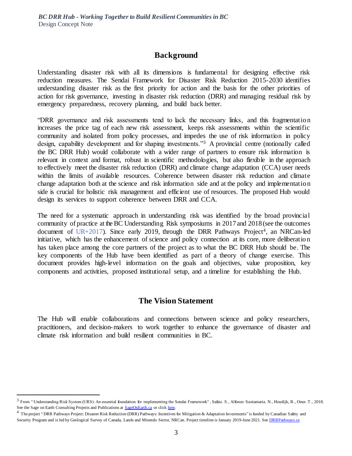### **Background**

Understanding disaster risk with all its dimensions is fundamental for designing effective risk reduction measures. The Sendai Framework for Disaster Risk Reduction 2015-2030 identifies understanding disaster risk as the first priority for action and the basis for the other priorities of action for risk governance, investing in disaster risk reduction (DRR) and managing residual risk by emergency preparedness, recovery planning, and build back better.

"DRR governance and risk assessments tend to lack the necessary links, and this fragmentation increases the price tag of each new risk assessment, keeps risk assessments within the scientific community and isolated from policy processes, and impedes the use of risk information in policy design, capability development and for shaping investments."<sup>3</sup> A provincial centre (notionally called the BC DRR Hub) would collaborate with a wider range of partners to ensure risk information is relevant in context and format, robust in scientific methodologies, but also flexible in the approach to effectively meet the disaster risk reduction (DRR) and climate change adaptation (CCA) user needs within the limits of available resources. Coherence between disaster risk reduction and climate change adaptation both at the science and risk information side and at the policy and implementation side is crucial for holistic risk management and efficient use of resources. The proposed Hub would design its services to support coherence between DRR and CCA.

The need for a systematic approach in understanding risk was identified by the broad provincial community of practice at the BC Understanding Risk symposiums in 2017 and 2018 (see the outcomes document of  $UR+2017$ ). Since early 2019, through the DRR Pathways Project<sup>4</sup>, an NRCan-led initiative, which has the enhancement of science and policy connection at its core, more deliberation has taken place among the core partners of the project as to what the BC DRR Hub should be. The key components of the Hub have been identified as part of a theory of change exercise. This document provides high-level information on the goals and objectives, value proposition, key components and activities, proposed institutional setup, and a timeline for establishing the Hub.

### **The Vision Statement**

The Hub will enable collaborations and connections between science and policy researchers, practitioners, and decision-makers to work together to enhance the governance of disaster and climate risk information and build resilient communities in BC.

 $\overline{a}$ 

<sup>3</sup> From " Understanding Risk System (URS): An essential foundation for implementing the Sendai Framework" , Safaie. S., Alfonzo Santamaria. N., Houdijk, R., Onur. T., 2018. See the Sage on Earth Consulting Projects and Publications at **SageOnEarth.ca** or clic[k here.](https://b57a6de3-c4e9-4b37-a074-21124b0bbe9a.filesusr.com/ugd/c54559_a8ed5fc96f4d44ddb4d63117d37d6ee4.pdf)

<sup>&</sup>lt;sup>4</sup> The project "DRR Pathways Project: Disaster Risk Reduction (DRR) Pathways: Incentives for Mitigation & Adaptation Investments" is funded by Canadian Safety and Security Program and is led by Geological Survey of Canada, Lands and Minerals Sector, NRCan. Project timeline is January 2019-June 2021. See DRRPathways.ca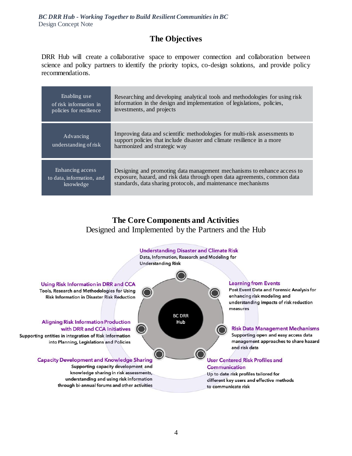## **The Objectives**

DRR Hub will create a collaborative space to empower connection and collaboration between science and policy partners to identify the priority topics, co-design solutions, and provide policy recommendations.

| Enabling use                       | Researching and developing analytical tools and methodologies for using risk                                                                                                         |
|------------------------------------|--------------------------------------------------------------------------------------------------------------------------------------------------------------------------------------|
| of risk information in             | information in the design and implementation of legislations, policies,                                                                                                              |
| policies for resilience            | investments, and projects                                                                                                                                                            |
| Advancing<br>understanding of risk | Improving data and scientific methodologies for multi-risk assessments to<br>support policies that include disaster and climate resilience in a more<br>harmonized and strategic way |
| Enhancing access                   | Designing and promoting data management mechanisms to enhance access to                                                                                                              |
| to data, information, and          | exposure, hazard, and risk data through open data agreements, common data                                                                                                            |
| knowledge                          | standards, data sharing protocols, and maintenance mechanisms                                                                                                                        |

## **The Core Components and Activities** Designed and Implemented by the Partners and the Hub

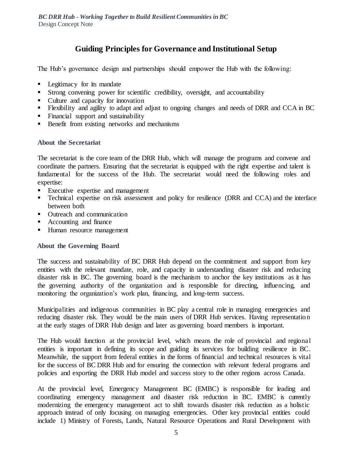## **Guiding Principles for Governance and Institutional Setup**

The Hub's governance design and partnerships should empower the Hub with the following:

- **Legitimacy for its mandate**
- Strong convening power for scientific credibility, oversight, and accountability
- Culture and capacity for innovation
- Flexibility and agility to adapt and adjust to ongoing changes and needs of DRR and CCA in BC
- Financial support and sustainability
- Benefit from existing networks and mechanisms

### **About the Secretariat**

The secretariat is the core team of the DRR Hub, which will manage the programs and convene and coordinate the partners. Ensuring that the secretariat is equipped with the right expertise and talent is fundamental for the success of the Hub. The secretariat would need the following roles and expertise:

- Executive expertise and management
- **Technical expertise on risk assessment and policy for resilience (DRR and CCA) and the interface** between both
- Outreach and communication
- Accounting and finance
- Human resource management

### **About the Governing Board**

The success and sustainability of BC DRR Hub depend on the commitment and support from key entities with the relevant mandate, role, and capacity in understanding disaster risk and reducing disaster risk in BC. The governing board is the mechanism to anchor the key institutions as it has the governing authority of the organization and is responsible for directing, influencing, and monitoring the organization's work plan, financing, and long-term success.

Municipalities and indigenous communities in BC play a central role in managing emergencies and reducing disaster risk. They would be the main users of DRR Hub services. Having representation at the early stages of DRR Hub design and later as governing board members is important.

The Hub would function at the provincial level, which means the role of provincial and regional entities is important in defining its scope and guiding its services for building resilience in BC. Meanwhile, the support from federal entities in the forms of financial and technical resources is vital for the success of BC DRR Hub and for ensuring the connection with relevant federal programs and policies and exporting the DRR Hub model and success story to the other regions across Canada.

At the provincial level, Emergency Management BC (EMBC) is responsible for leading and coordinating emergency management and disaster risk reduction in BC. EMBC is currently modernizing the emergency management act to shift towards disaster risk reduction as a holistic approach instead of only focusing on managing emergencies. Other key provincial entities could include 1) Ministry of Forests, Lands, Natural Resource Operations and Rural Development with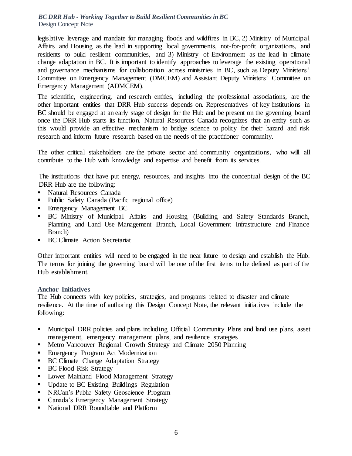legislative leverage and mandate for managing floods and wildfires in BC, 2) Ministry of Municipal Affairs and Housing as the lead in supporting local governments, not-for-profit organizations, and residents to build resilient communities, and 3) Ministry of Environment as the lead in climate change adaptation in BC. It is important to identify approaches to leverage the existing operational and governance mechanisms for collaboration across ministries in BC, such as Deputy Ministers' Committee on Emergency Management (DMCEM) and Assistant Deputy Ministers' Committee on Emergency Management (ADMCEM).

The scientific, engineering, and research entities, including the professional associations, are the other important entities that DRR Hub success depends on. Representatives of key institutions in BC should be engaged at an early stage of design for the Hub and be present on the governing board once the DRR Hub starts its function. Natural Resources Canada recognizes that an entity such as this would provide an effective mechanism to bridge science to policy for their hazard and risk research and inform future research based on the needs of the practitioner community.

The other critical stakeholders are the private sector and community organizations, who will all contribute to the Hub with knowledge and expertise and benefit from its services.

The institutions that have put energy, resources, and insights into the conceptual design of the BC DRR Hub are the following:

- Natural Resources Canada
- Public Safety Canada (Pacific regional office)
- **Emergency Management BC**
- BC Ministry of Municipal Affairs and Housing (Building and Safety Standards Branch, Planning and Land Use Management Branch, Local Government Infrastructure and Finance Branch)
- **BC Climate Action Secretariat**

Other important entities will need to be engaged in the near future to design and establish the Hub. The terms for joining the governing board will be one of the first items to be defined as part of the Hub establishment.

### **Anchor Initiatives**

The Hub connects with key policies, strategies, and programs related to disaster and climate resilience. At the time of authoring this Design Concept Note, the relevant initiatives include the following:

- Municipal DRR policies and plans including Official Community Plans and land use plans, asset management, emergency management plans, and resilience strategies
- **Metro Vancouver Regional Growth Strategy and Climate 2050 Planning**
- **Emergency Program Act Modernization**
- BC Climate Change Adaptation Strategy
- BC Flood Risk Strategy
- **Lower Mainland Flood Management Strategy**
- Update to BC Existing Buildings Regulation
- NRCan's Public Safety Geoscience Program
- Canada's Emergency Management Strategy
- National DRR Roundtable and Platform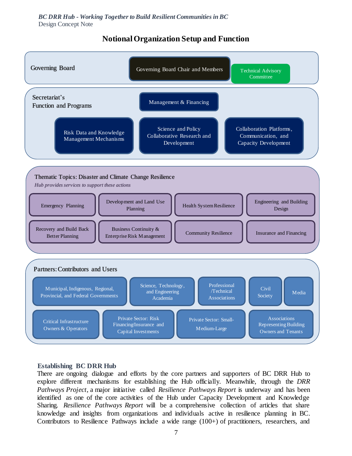#### Governing Board Governing Governing Board Chair and Members Crechnical Advisory **Committee** Partners: Contributors and Users Municipal, Indigenous, Regional, Provincial, and Federal Governments Private Sector: Small-Medium-Large Enterprises Civil **Society** Science, Technology, and Engineering Academia Critical Infrastructure Owners & Operators Associations Representing Building Owners and Tenants Media Private Sector: Risk Financing/Insurance and Capital Investments Professional /Technical Associations Thematic Topics: Disaster and Climate Change Resilience *Hub provides services to support these actions* Development and Land Use Emergency Planning  $\begin{array}{c|c} \hline \end{array}$  European and Planning Engineering and Building Design Insurance and Financing Business Continuity & Enterprise Risk Management Community Resilience Recovery and Build Back Better Planning Health System Resilience Secretariat's Function and Programs Risk Data and Knowledge Management Mechanisms Science and Policy Collaborative Research and Development Collaboration Platforms, Communication, and Capacity Development Management & Financing

### **Notional Organization Setup and Function**

#### **Establishing BC DRR Hub**

There are ongoing dialogue and efforts by the core partners and supporters of BC DRR Hub to explore different mechanisms for establishing the Hub officially. Meanwhile, through the *DRR Pathways Project*, a major initiative called *Resilience Pathways Report* is underway and has been identified as one of the core activities of the Hub under Capacity Development and Knowledge Sharing. *Resilience Pathways Report* will be a comprehensive collection of articles that share knowledge and insights from organizations and individuals active in resilience planning in BC. Contributors to Resilience Pathways include a wide range (100+) of practitioners, researchers, and